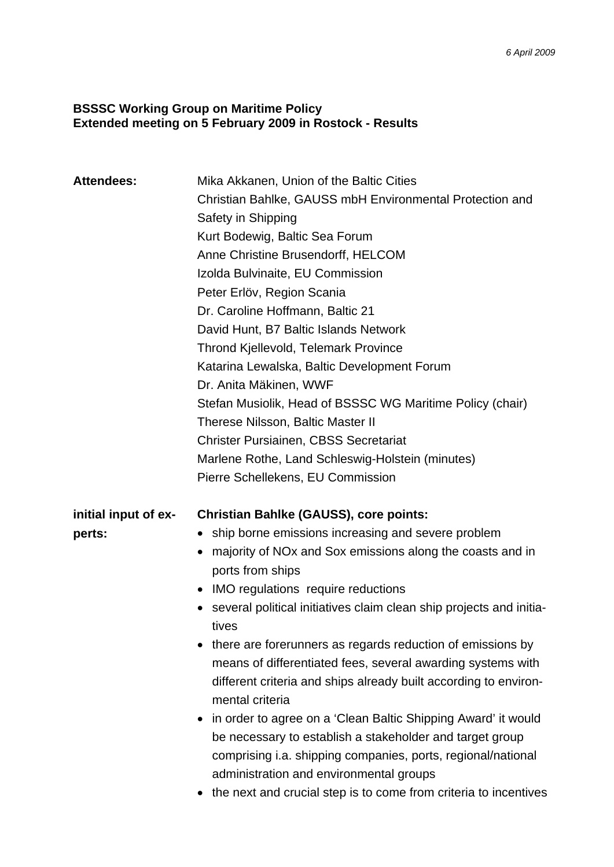## **BSSSC Working Group on Maritime Policy Extended meeting on 5 February 2009 in Rostock - Results**

| <b>Attendees:</b>    | Mika Akkanen, Union of the Baltic Cities<br>Christian Bahlke, GAUSS mbH Environmental Protection and<br>Safety in Shipping                                                                                                                                                                               |
|----------------------|----------------------------------------------------------------------------------------------------------------------------------------------------------------------------------------------------------------------------------------------------------------------------------------------------------|
|                      | Kurt Bodewig, Baltic Sea Forum                                                                                                                                                                                                                                                                           |
|                      | Anne Christine Brusendorff, HELCOM                                                                                                                                                                                                                                                                       |
|                      | Izolda Bulvinaite, EU Commission                                                                                                                                                                                                                                                                         |
|                      | Peter Erlöv, Region Scania                                                                                                                                                                                                                                                                               |
|                      | Dr. Caroline Hoffmann, Baltic 21                                                                                                                                                                                                                                                                         |
|                      | David Hunt, B7 Baltic Islands Network                                                                                                                                                                                                                                                                    |
|                      | <b>Thrond Kjellevold, Telemark Province</b>                                                                                                                                                                                                                                                              |
|                      | Katarina Lewalska, Baltic Development Forum                                                                                                                                                                                                                                                              |
|                      | Dr. Anita Mäkinen, WWF                                                                                                                                                                                                                                                                                   |
|                      | Stefan Musiolik, Head of BSSSC WG Maritime Policy (chair)                                                                                                                                                                                                                                                |
|                      | <b>Therese Nilsson, Baltic Master II</b>                                                                                                                                                                                                                                                                 |
|                      | <b>Christer Pursiainen, CBSS Secretariat</b>                                                                                                                                                                                                                                                             |
|                      | Marlene Rothe, Land Schleswig-Holstein (minutes)                                                                                                                                                                                                                                                         |
|                      | Pierre Schellekens, EU Commission                                                                                                                                                                                                                                                                        |
| initial input of ex- | <b>Christian Bahlke (GAUSS), core points:</b>                                                                                                                                                                                                                                                            |
| perts:               | ship borne emissions increasing and severe problem                                                                                                                                                                                                                                                       |
|                      | majority of NO <sub>x</sub> and Sox emissions along the coasts and in<br>ports from ships                                                                                                                                                                                                                |
|                      | • IMO regulations require reductions                                                                                                                                                                                                                                                                     |
|                      | several political initiatives claim clean ship projects and initia-<br>tives                                                                                                                                                                                                                             |
|                      | • there are forerunners as regards reduction of emissions by<br>means of differentiated fees, several awarding systems with<br>different criteria and ships already built according to environ-<br>mental criteria                                                                                       |
|                      | in order to agree on a 'Clean Baltic Shipping Award' it would<br>be necessary to establish a stakeholder and target group<br>comprising i.a. shipping companies, ports, regional/national<br>administration and environmental groups<br>the next and crucial step is to come from criteria to incentives |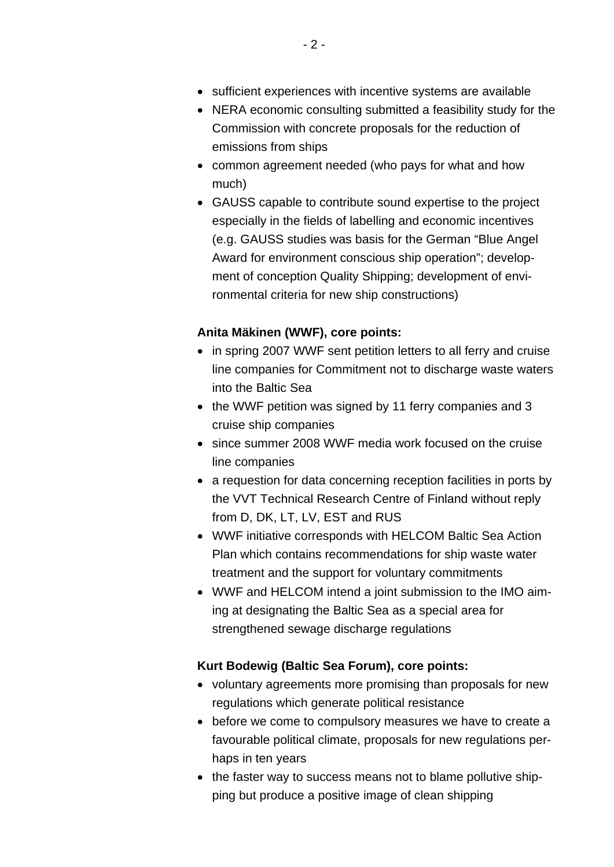- sufficient experiences with incentive systems are available
- NERA economic consulting submitted a feasibility study for the Commission with concrete proposals for the reduction of emissions from ships
- common agreement needed (who pays for what and how much)
- GAUSS capable to contribute sound expertise to the project especially in the fields of labelling and economic incentives (e.g. GAUSS studies was basis for the German "Blue Angel Award for environment conscious ship operation"; development of conception Quality Shipping; development of environmental criteria for new ship constructions)

## **Anita Mäkinen (WWF), core points:**

- in spring 2007 WWF sent petition letters to all ferry and cruise line companies for Commitment not to discharge waste waters into the Baltic Sea
- the WWF petition was signed by 11 ferry companies and 3 cruise ship companies
- since summer 2008 WWF media work focused on the cruise line companies
- a requestion for data concerning reception facilities in ports by the VVT Technical Research Centre of Finland without reply from D, DK, LT, LV, EST and RUS
- WWF initiative corresponds with HELCOM Baltic Sea Action Plan which contains recommendations for ship waste water treatment and the support for voluntary commitments
- WWF and HELCOM intend a joint submission to the IMO aiming at designating the Baltic Sea as a special area for strengthened sewage discharge regulations

## **Kurt Bodewig (Baltic Sea Forum), core points:**

- voluntary agreements more promising than proposals for new regulations which generate political resistance
- before we come to compulsory measures we have to create a favourable political climate, proposals for new regulations perhaps in ten years
- the faster way to success means not to blame pollutive shipping but produce a positive image of clean shipping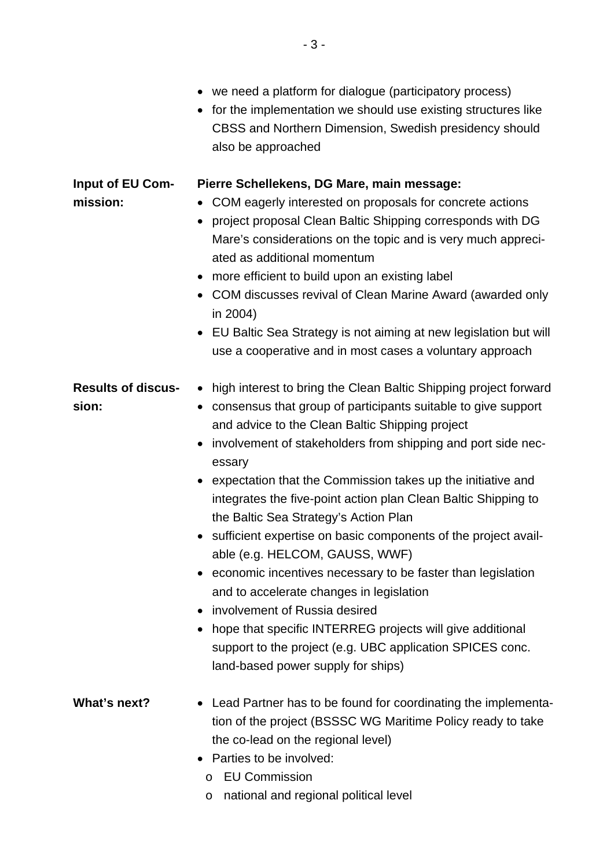|                                     | we need a platform for dialogue (participatory process)<br>for the implementation we should use existing structures like<br>CBSS and Northern Dimension, Swedish presidency should<br>also be approached                                                                                                                                                                                                                                                                                                                                                                                                                                                                                                                                                                                                                                                                           |
|-------------------------------------|------------------------------------------------------------------------------------------------------------------------------------------------------------------------------------------------------------------------------------------------------------------------------------------------------------------------------------------------------------------------------------------------------------------------------------------------------------------------------------------------------------------------------------------------------------------------------------------------------------------------------------------------------------------------------------------------------------------------------------------------------------------------------------------------------------------------------------------------------------------------------------|
| <b>Input of EU Com-</b><br>mission: | Pierre Schellekens, DG Mare, main message:<br>COM eagerly interested on proposals for concrete actions<br>$\bullet$<br>project proposal Clean Baltic Shipping corresponds with DG<br>$\bullet$<br>Mare's considerations on the topic and is very much appreci-<br>ated as additional momentum<br>more efficient to build upon an existing label<br>COM discusses revival of Clean Marine Award (awarded only<br>$\bullet$<br>in 2004)<br>EU Baltic Sea Strategy is not aiming at new legislation but will<br>use a cooperative and in most cases a voluntary approach                                                                                                                                                                                                                                                                                                              |
| <b>Results of discus-</b><br>sion:  | high interest to bring the Clean Baltic Shipping project forward<br>$\bullet$<br>consensus that group of participants suitable to give support<br>$\bullet$<br>and advice to the Clean Baltic Shipping project<br>involvement of stakeholders from shipping and port side nec-<br>essary<br>expectation that the Commission takes up the initiative and<br>integrates the five-point action plan Clean Baltic Shipping to<br>the Baltic Sea Strategy's Action Plan<br>sufficient expertise on basic components of the project avail-<br>able (e.g. HELCOM, GAUSS, WWF)<br>economic incentives necessary to be faster than legislation<br>and to accelerate changes in legislation<br>involvement of Russia desired<br>hope that specific INTERREG projects will give additional<br>support to the project (e.g. UBC application SPICES conc.<br>land-based power supply for ships) |
| What's next?                        | • Lead Partner has to be found for coordinating the implementa-<br>tion of the project (BSSSC WG Maritime Policy ready to take<br>the co-lead on the regional level)<br>Parties to be involved:<br><b>EU Commission</b><br>O<br>national and regional political level<br>O                                                                                                                                                                                                                                                                                                                                                                                                                                                                                                                                                                                                         |